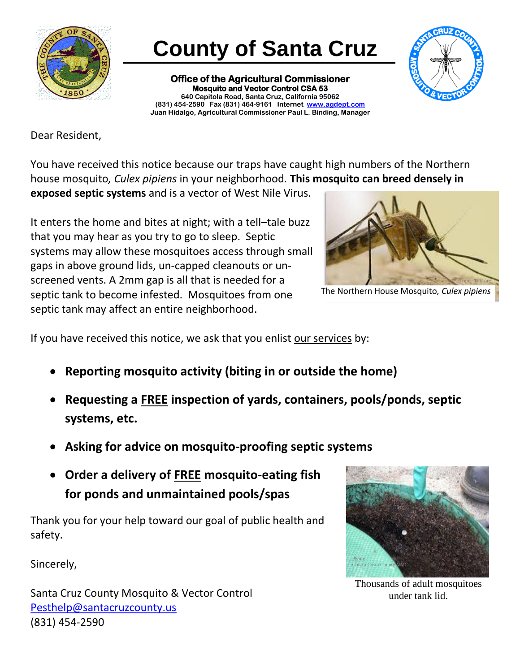

## **County of Santa Cruz**

**Office of the Agricultural Commissioner Mosquito and Vector Control CSA 53 640 Capitola Road, Santa Cruz, California 95062 (831) 454-2590 Fax (831) 464-9161 Internet [www.agdept.com](http://www.agdept.com/) Juan Hidalgo, Agricultural Commissioner Paul L. Binding, Manager**



Dear Resident,

You have received this notice because our traps have caught high numbers of the Northern house mosquito*, Culex pipiens* in your neighborhood*.* **This mosquito can breed densely in exposed septic systems** and is a vector of West Nile Virus.

It enters the home and bites at night; with a tell–tale buzz that you may hear as you try to go to sleep. Septic systems may allow these mosquitoes access through small gaps in above ground lids, un-capped cleanouts or unscreened vents. A 2mm gap is all that is needed for a septic tank to become infested. Mosquitoes from one septic tank may affect an entire neighborhood.



The Northern House Mosquito*, Culex pipiens* 

If you have received this notice, we ask that you enlist our services by:

- **Reporting mosquito activity (biting in or outside the home)**
- **Requesting a FREE inspection of yards, containers, pools/ponds, septic systems, etc.**
- **Asking for advice on mosquito-proofing septic systems**
- **Order a delivery of FREE mosquito-eating fish for ponds and unmaintained pools/spas**

Thank you for your help toward our goal of public health and safety.

Sincerely,

Santa Cruz County Mosquito & Vector Control [Pesthelp@santacruzcounty.us](mailto:Pesthelp@santacruzcounty.us) (831) 454-2590



Thousands of adult mosquitoes under tank lid.